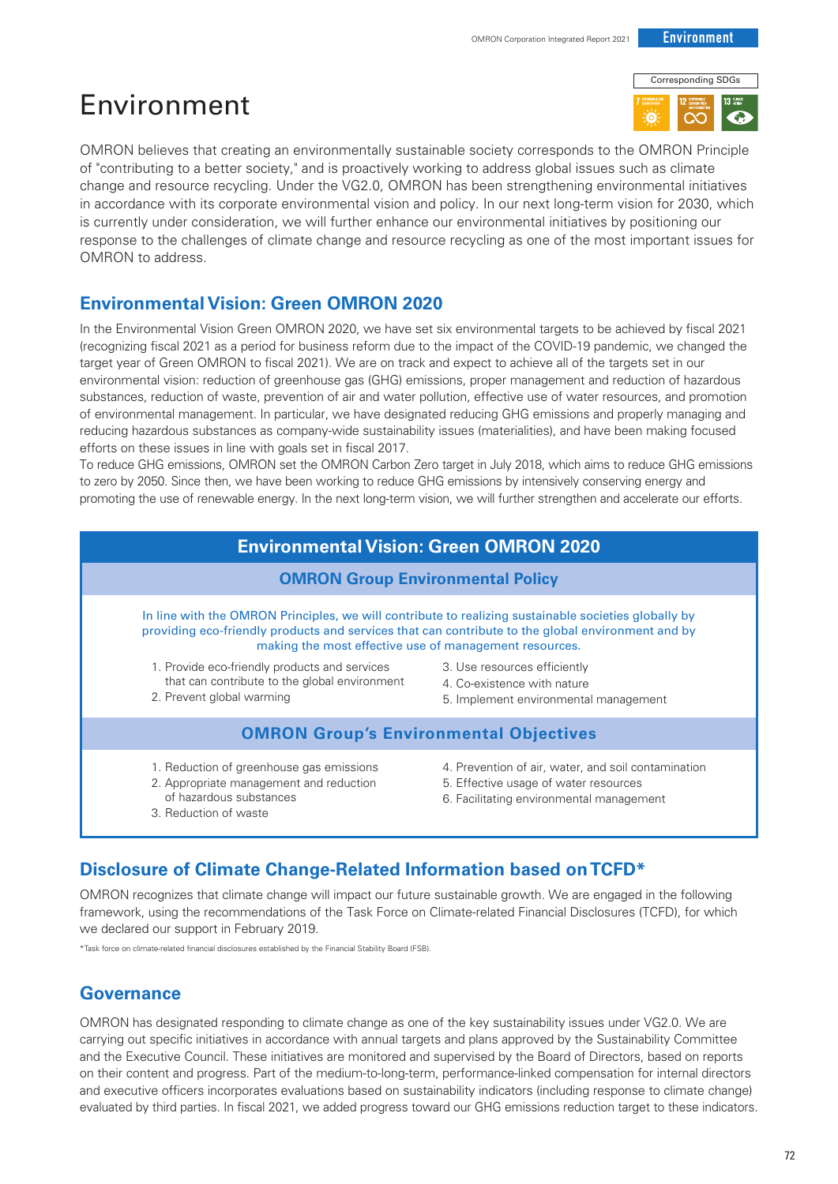# Environment



OMRON believes that creating an environmentally sustainable society corresponds to the OMRON Principle of "contributing to a better society," and is proactively working to address global issues such as climate change and resource recycling. Under the VG2.0, OMRON has been strengthening environmental initiatives in accordance with its corporate environmental vision and policy. In our next long-term vision for 2030, which is currently under consideration, we will further enhance our environmental initiatives by positioning our response to the challenges of climate change and resource recycling as one of the most important issues for OMRON to address.

## **Environmental Vision: Green OMRON 2020**

In the Environmental Vision Green OMRON 2020, we have set six environmental targets to be achieved by fiscal 2021 (recognizing fiscal 2021 as a period for business reform due to the impact of the COVID-19 pandemic, we changed the target year of Green OMRON to fiscal 2021). We are on track and expect to achieve all of the targets set in our environmental vision: reduction of greenhouse gas (GHG) emissions, proper management and reduction of hazardous substances, reduction of waste, prevention of air and water pollution, effective use of water resources, and promotion of environmental management. In particular, we have designated reducing GHG emissions and properly managing and reducing hazardous substances as company-wide sustainability issues (materialities), and have been making focused efforts on these issues in line with goals set in fiscal 2017.

To reduce GHG emissions, OMRON set the OMRON Carbon Zero target in July 2018, which aims to reduce GHG emissions to zero by 2050. Since then, we have been working to reduce GHG emissions by intensively conserving energy and promoting the use of renewable energy. In the next long-term vision, we will further strengthen and accelerate our efforts.

## **Environmental Vision: Green OMRON 2020**

#### **OMRON Group Environmental Policy**

In line with the OMRON Principles, we will contribute to realizing sustainable societies globally by providing eco-friendly products and services that can contribute to the global environment and by making the most effective use of management resources.

- 1. Provide eco-friendly products and services that can contribute to the global environment
- 2. Prevent global warming
- 3. Use resources efficiently
- 4. Co-existence with nature
- 5. Implement environmental management

#### **OMRON Group's Environmental Objectives**

- 1. Reduction of greenhouse gas emissions
- 2. Appropriate management and reduction of hazardous substances
- 3. Reduction of waste
- 4. Prevention of air, water, and soil contamination
- 5. Effective usage of water resources
- 6. Facilitating environmental management

## **Disclosure of Climate Change-Related Information based on TCFD\***

OMRON recognizes that climate change will impact our future sustainable growth. We are engaged in the following framework, using the recommendations of the Task Force on Climate-related Financial Disclosures (TCFD), for which we declared our support in February 2019.

\*Task force on climate-related financial disclosures established by the Financial Stability Board (FSB).

## **Governance**

OMRON has designated responding to climate change as one of the key sustainability issues under VG2.0. We are carrying out specific initiatives in accordance with annual targets and plans approved by the Sustainability Committee and the Executive Council. These initiatives are monitored and supervised by the Board of Directors, based on reports on their content and progress. Part of the medium-to-long-term, performance-linked compensation for internal directors and executive officers incorporates evaluations based on sustainability indicators (including response to climate change) evaluated by third parties. In fiscal 2021, we added progress toward our GHG emissions reduction target to these indicators.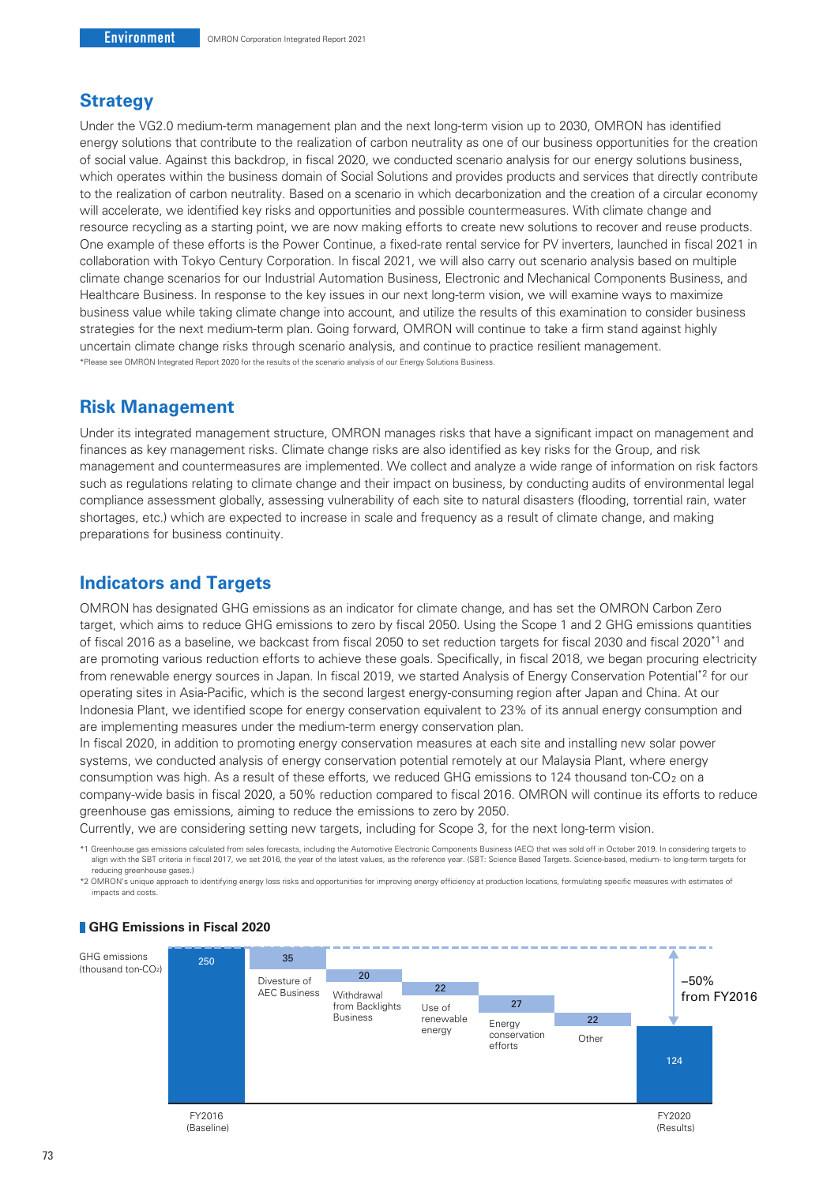#### **Strategy**

Under the VG2.0 medium-term management plan and the next long-term vision up to 2030, OMRON has identified energy solutions that contribute to the realization of carbon neutrality as one of our business opportunities for the creation of social value. Against this backdrop, in fiscal 2020, we conducted scenario analysis for our energy solutions business, which operates within the business domain of Social Solutions and provides products and services that directly contribute to the realization of carbon neutrality. Based on a scenario in which decarbonization and the creation of a circular economy will accelerate, we identified key risks and opportunities and possible countermeasures. With climate change and resource recycling as a starting point, we are now making efforts to create new solutions to recover and reuse products. One example of these efforts is the Power Continue, a fixed-rate rental service for PV inverters, launched in fiscal 2021 in collaboration with Tokyo Century Corporation. In fiscal 2021, we will also carry out scenario analysis based on multiple climate change scenarios for our Industrial Automation Business, Electronic and Mechanical Components Business, and Healthcare Business. In response to the key issues in our next long-term vision, we will examine ways to maximize business value while taking climate change into account, and utilize the results of this examination to consider business strategies for the next medium-term plan. Going forward, OMRON will continue to take a firm stand against highly uncertain climate change risks through scenario analysis, and continue to practice resilient management. \*Please see OMRON Integrated Report 2020 for the results of the scenario analysis of our Energy Solutions Business.

#### **Risk Management**

Under its integrated management structure, OMRON manages risks that have a significant impact on management and finances as key management risks. Climate change risks are also identified as key risks for the Group, and risk management and countermeasures are implemented. We collect and analyze a wide range of information on risk factors such as regulations relating to climate change and their impact on business, by conducting audits of environmental legal compliance assessment globally, assessing vulnerability of each site to natural disasters (flooding, torrential rain, water shortages, etc.) which are expected to increase in scale and frequency as a result of climate change, and making preparations for business continuity.

### **Indicators and Targets**

OMRON has designated GHG emissions as an indicator for climate change, and has set the OMRON Carbon Zero target, which aims to reduce GHG emissions to zero by fiscal 2050. Using the Scope 1 and 2 GHG emissions quantities of fiscal 2016 as a baseline, we backcast from fiscal 2050 to set reduction targets for fiscal 2030 and fiscal 2020\*1 and are promoting various reduction efforts to achieve these goals. Specifically, in fiscal 2018, we began procuring electricity from renewable energy sources in Japan. In fiscal 2019, we started Analysis of Energy Conservation Potential\*2 for our operating sites in Asia-Pacific, which is the second largest energy-consuming region after Japan and China. At our Indonesia Plant, we identified scope for energy conservation equivalent to 23% of its annual energy consumption and are implementing measures under the medium-term energy conservation plan.

In fiscal 2020, in addition to promoting energy conservation measures at each site and installing new solar power systems, we conducted analysis of energy conservation potential remotely at our Malaysia Plant, where energy consumption was high. As a result of these efforts, we reduced GHG emissions to 124 thousand ton-CO2 on a company-wide basis in fiscal 2020, a 50% reduction compared to fiscal 2016. OMRON will continue its efforts to reduce greenhouse gas emissions, aiming to reduce the emissions to zero by 2050.

Currently, we are considering setting new targets, including for Scope 3, for the next long-term vision.

\*1 Greenhouse gas emissions calculated from sales forecasts, including the Automotive Electronic Components Business (AEC) that was sold off in October 2019. In considering targets to align with the SBT criteria in fiscal 2017, we set 2016, the year of the latest values, as the reference year. (SBT: Science Based Targets. Science-based, medium- to long-term targets for reducing greenhouse gases.)

\*2 OMRON's unique approach to identifying energy loss risks and opportunities for improving energy efficiency at production locations, formulating specific measures with estimates of impacts and costs.



#### **GHG Emissions in Fiscal 2020**